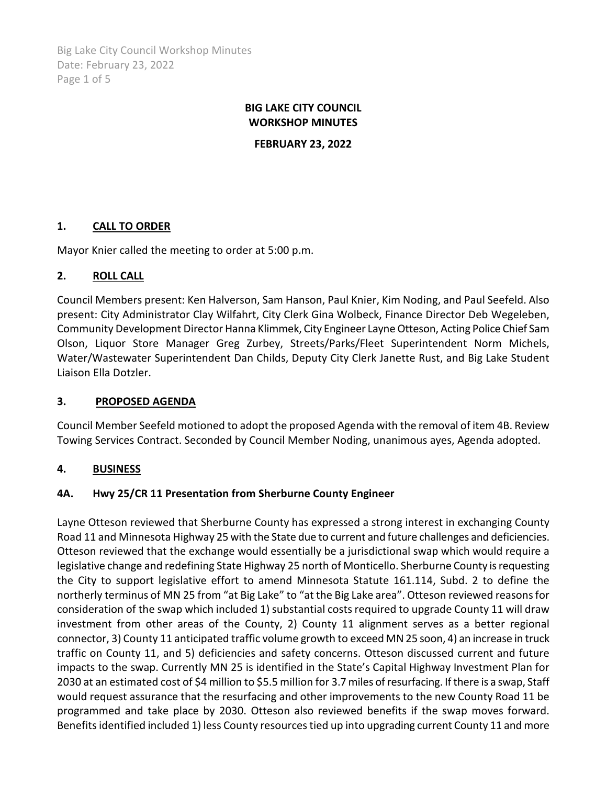Big Lake City Council Workshop Minutes Date: February 23, 2022 Page 1 of 5

## **BIG LAKE CITY COUNCIL WORKSHOP MINUTES**

**FEBRUARY 23, 2022**

## **1. CALL TO ORDER**

Mayor Knier called the meeting to order at 5:00 p.m.

## **2. ROLL CALL**

Council Members present: Ken Halverson, Sam Hanson, Paul Knier, Kim Noding, and Paul Seefeld. Also present: City Administrator Clay Wilfahrt, City Clerk Gina Wolbeck, Finance Director Deb Wegeleben, Community Development Director Hanna Klimmek, City Engineer Layne Otteson, Acting Police Chief Sam Olson, Liquor Store Manager Greg Zurbey, Streets/Parks/Fleet Superintendent Norm Michels, Water/Wastewater Superintendent Dan Childs, Deputy City Clerk Janette Rust, and Big Lake Student Liaison Ella Dotzler.

## **3. PROPOSED AGENDA**

Council Member Seefeld motioned to adopt the proposed Agenda with the removal of item 4B. Review Towing Services Contract. Seconded by Council Member Noding, unanimous ayes, Agenda adopted.

## **4. BUSINESS**

## **4A. Hwy 25/CR 11 Presentation from Sherburne County Engineer**

Layne Otteson reviewed that Sherburne County has expressed a strong interest in exchanging County Road 11 and Minnesota Highway 25 with the State due to current and future challenges and deficiencies. Otteson reviewed that the exchange would essentially be a jurisdictional swap which would require a legislative change and redefining State Highway 25 north of Monticello. Sherburne County is requesting the City to support legislative effort to amend Minnesota Statute 161.114, Subd. 2 to define the northerly terminus of MN 25 from "at Big Lake" to "at the Big Lake area". Otteson reviewed reasons for consideration of the swap which included 1) substantial costs required to upgrade County 11 will draw investment from other areas of the County, 2) County 11 alignment serves as a better regional connector, 3) County 11 anticipated traffic volume growth to exceed MN 25 soon, 4) an increase in truck traffic on County 11, and 5) deficiencies and safety concerns. Otteson discussed current and future impacts to the swap. Currently MN 25 is identified in the State's Capital Highway Investment Plan for 2030 at an estimated cost of \$4 million to \$5.5 million for 3.7 miles of resurfacing. If there is a swap, Staff would request assurance that the resurfacing and other improvements to the new County Road 11 be programmed and take place by 2030. Otteson also reviewed benefits if the swap moves forward. Benefits identified included 1) less County resources tied up into upgrading current County 11 and more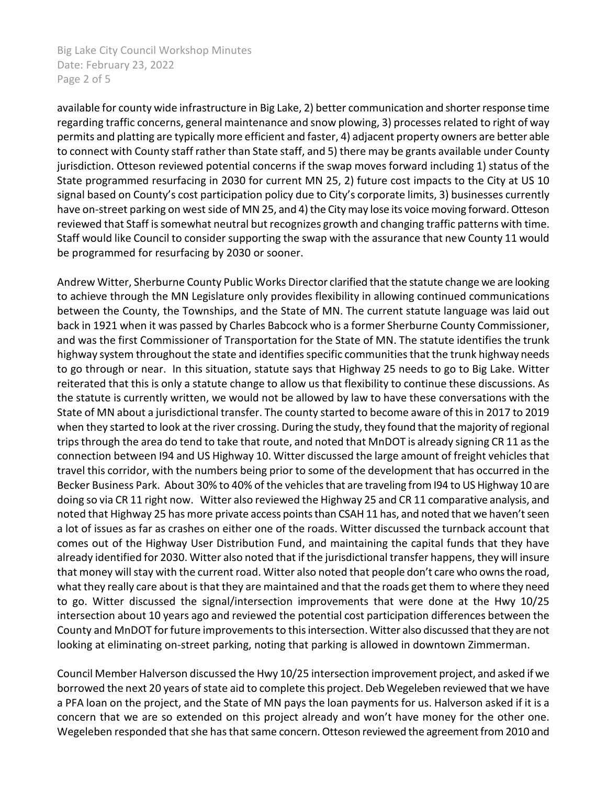Big Lake City Council Workshop Minutes Date: February 23, 2022 Page 2 of 5

available for county wide infrastructure in Big Lake, 2) better communication and shorter response time regarding traffic concerns, general maintenance and snow plowing, 3) processes related to right of way permits and platting are typically more efficient and faster, 4) adjacent property owners are better able to connect with County staff rather than State staff, and 5) there may be grants available under County jurisdiction. Otteson reviewed potential concerns if the swap moves forward including 1) status of the State programmed resurfacing in 2030 for current MN 25, 2) future cost impacts to the City at US 10 signal based on County's cost participation policy due to City's corporate limits, 3) businesses currently have on-street parking on west side of MN 25, and 4) the City may lose its voice moving forward. Otteson reviewed that Staff is somewhat neutral but recognizes growth and changing traffic patterns with time. Staff would like Council to consider supporting the swap with the assurance that new County 11 would be programmed for resurfacing by 2030 or sooner.

Andrew Witter, Sherburne County Public Works Director clarified that the statute change we are looking to achieve through the MN Legislature only provides flexibility in allowing continued communications between the County, the Townships, and the State of MN. The current statute language was laid out back in 1921 when it was passed by Charles Babcock who is a former Sherburne County Commissioner, and was the first Commissioner of Transportation for the State of MN. The statute identifies the trunk highway system throughout the state and identifies specific communities that the trunk highway needs to go through or near. In this situation, statute says that Highway 25 needs to go to Big Lake. Witter reiterated that this is only a statute change to allow us that flexibility to continue these discussions. As the statute is currently written, we would not be allowed by law to have these conversations with the State of MN about a jurisdictional transfer. The county started to become aware of this in 2017 to 2019 when they started to look at the river crossing. During the study, they found that the majority of regional trips through the area do tend to take that route, and noted that MnDOT is already signing CR 11 as the connection between I94 and US Highway 10. Witter discussed the large amount of freight vehicles that travel this corridor, with the numbers being prior to some of the development that has occurred in the Becker Business Park. About 30% to 40% of the vehicles that are traveling from I94 to US Highway 10 are doing so via CR 11 right now. Witter also reviewed the Highway 25 and CR 11 comparative analysis, and noted that Highway 25 has more private access points than CSAH 11 has, and noted that we haven't seen a lot of issues as far as crashes on either one of the roads. Witter discussed the turnback account that comes out of the Highway User Distribution Fund, and maintaining the capital funds that they have already identified for 2030. Witter also noted that if the jurisdictional transfer happens, they will insure that money will stay with the current road. Witter also noted that people don't care who owns the road, what they really care about is that they are maintained and that the roads get them to where they need to go. Witter discussed the signal/intersection improvements that were done at the Hwy 10/25 intersection about 10 years ago and reviewed the potential cost participation differences between the County and MnDOT for future improvements to this intersection. Witter also discussed that they are not looking at eliminating on-street parking, noting that parking is allowed in downtown Zimmerman.

Council Member Halverson discussed the Hwy 10/25 intersection improvement project, and asked if we borrowed the next 20 years of state aid to complete this project. Deb Wegeleben reviewed that we have a PFA loan on the project, and the State of MN pays the loan payments for us. Halverson asked if it is a concern that we are so extended on this project already and won't have money for the other one. Wegeleben responded that she has that same concern. Otteson reviewed the agreement from 2010 and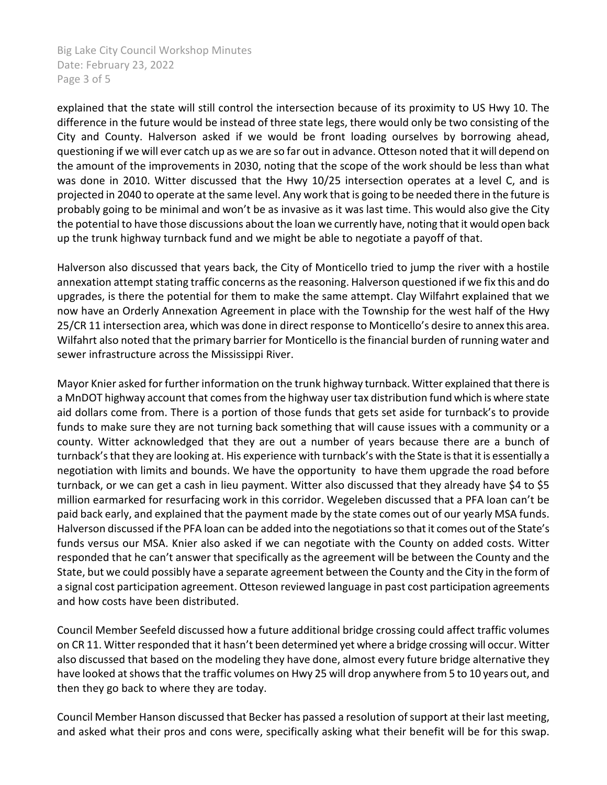Big Lake City Council Workshop Minutes Date: February 23, 2022 Page 3 of 5

explained that the state will still control the intersection because of its proximity to US Hwy 10. The difference in the future would be instead of three state legs, there would only be two consisting of the City and County. Halverson asked if we would be front loading ourselves by borrowing ahead, questioning if we will ever catch up as we are so far out in advance. Otteson noted that it will depend on the amount of the improvements in 2030, noting that the scope of the work should be less than what was done in 2010. Witter discussed that the Hwy 10/25 intersection operates at a level C, and is projected in 2040 to operate at the same level. Any work that is going to be needed there in the future is probably going to be minimal and won't be as invasive as it was last time. This would also give the City the potential to have those discussions about the loan we currently have, noting that it would open back up the trunk highway turnback fund and we might be able to negotiate a payoff of that.

Halverson also discussed that years back, the City of Monticello tried to jump the river with a hostile annexation attempt stating traffic concerns as the reasoning. Halverson questioned if we fix this and do upgrades, is there the potential for them to make the same attempt. Clay Wilfahrt explained that we now have an Orderly Annexation Agreement in place with the Township for the west half of the Hwy 25/CR 11 intersection area, which was done in direct response to Monticello's desire to annex this area. Wilfahrt also noted that the primary barrier for Monticello is the financial burden of running water and sewer infrastructure across the Mississippi River.

Mayor Knier asked for further information on the trunk highway turnback. Witter explained that there is a MnDOT highway account that comes from the highway user tax distribution fund which is where state aid dollars come from. There is a portion of those funds that gets set aside for turnback's to provide funds to make sure they are not turning back something that will cause issues with a community or a county. Witter acknowledged that they are out a number of years because there are a bunch of turnback'sthat they are looking at. His experience with turnback's with the State is that it is essentially a negotiation with limits and bounds. We have the opportunity to have them upgrade the road before turnback, or we can get a cash in lieu payment. Witter also discussed that they already have \$4 to \$5 million earmarked for resurfacing work in this corridor. Wegeleben discussed that a PFA loan can't be paid back early, and explained that the payment made by the state comes out of our yearly MSA funds. Halverson discussed if the PFA loan can be added into the negotiations so that it comes out of the State's funds versus our MSA. Knier also asked if we can negotiate with the County on added costs. Witter responded that he can't answer that specifically as the agreement will be between the County and the State, but we could possibly have a separate agreement between the County and the City in the form of a signal cost participation agreement. Otteson reviewed language in past cost participation agreements and how costs have been distributed.

Council Member Seefeld discussed how a future additional bridge crossing could affect traffic volumes on CR 11. Witter responded that it hasn't been determined yet where a bridge crossing will occur. Witter also discussed that based on the modeling they have done, almost every future bridge alternative they have looked at shows that the traffic volumes on Hwy 25 will drop anywhere from 5 to 10 years out, and then they go back to where they are today.

Council Member Hanson discussed that Becker has passed a resolution of support at their last meeting, and asked what their pros and cons were, specifically asking what their benefit will be for this swap.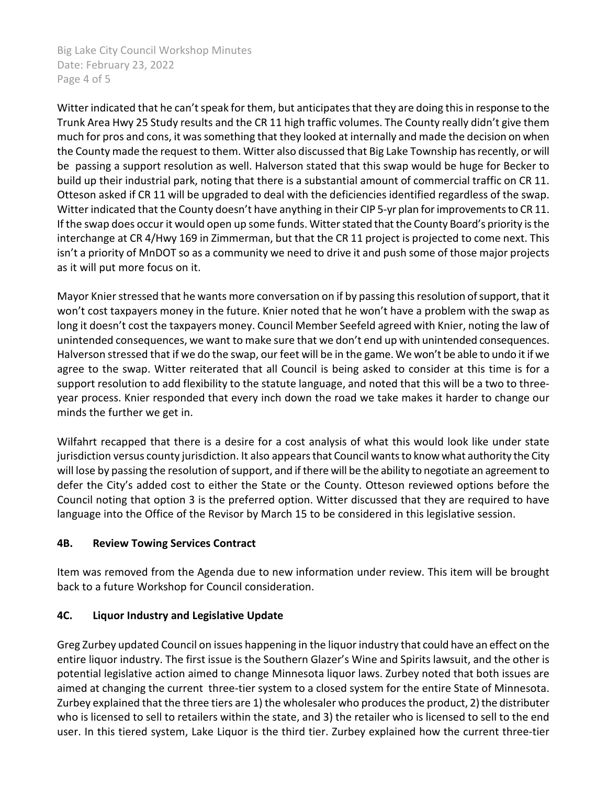Big Lake City Council Workshop Minutes Date: February 23, 2022 Page 4 of 5

Witter indicated that he can't speak for them, but anticipates that they are doing this in response to the Trunk Area Hwy 25 Study results and the CR 11 high traffic volumes. The County really didn't give them much for pros and cons, it was something that they looked at internally and made the decision on when the County made the request to them. Witter also discussed that Big Lake Township has recently, or will be passing a support resolution as well. Halverson stated that this swap would be huge for Becker to build up their industrial park, noting that there is a substantial amount of commercial traffic on CR 11. Otteson asked if CR 11 will be upgraded to deal with the deficiencies identified regardless of the swap. Witter indicated that the County doesn't have anything in their CIP 5-yr plan for improvements to CR 11. If the swap does occur it would open up some funds. Witter stated that the County Board's priority isthe interchange at CR 4/Hwy 169 in Zimmerman, but that the CR 11 project is projected to come next. This isn't a priority of MnDOT so as a community we need to drive it and push some of those major projects as it will put more focus on it.

Mayor Knier stressed that he wants more conversation on if by passing this resolution of support, that it won't cost taxpayers money in the future. Knier noted that he won't have a problem with the swap as long it doesn't cost the taxpayers money. Council Member Seefeld agreed with Knier, noting the law of unintended consequences, we want to make sure that we don't end up with unintended consequences. Halverson stressed that if we do the swap, our feet will be in the game. We won't be able to undo it if we agree to the swap. Witter reiterated that all Council is being asked to consider at this time is for a support resolution to add flexibility to the statute language, and noted that this will be a two to threeyear process. Knier responded that every inch down the road we take makes it harder to change our minds the further we get in.

Wilfahrt recapped that there is a desire for a cost analysis of what this would look like under state jurisdiction versus county jurisdiction. It also appears that Council wants to know what authority the City will lose by passing the resolution of support, and if there will be the ability to negotiate an agreement to defer the City's added cost to either the State or the County. Otteson reviewed options before the Council noting that option 3 is the preferred option. Witter discussed that they are required to have language into the Office of the Revisor by March 15 to be considered in this legislative session.

## **4B. Review Towing Services Contract**

Item was removed from the Agenda due to new information under review. This item will be brought back to a future Workshop for Council consideration.

# **4C. Liquor Industry and Legislative Update**

Greg Zurbey updated Council on issues happening in the liquor industry that could have an effect on the entire liquor industry. The first issue is the Southern Glazer's Wine and Spirits lawsuit, and the other is potential legislative action aimed to change Minnesota liquor laws. Zurbey noted that both issues are aimed at changing the current three-tier system to a closed system for the entire State of Minnesota. Zurbey explained that the three tiers are 1) the wholesaler who produces the product, 2) the distributer who is licensed to sell to retailers within the state, and 3) the retailer who is licensed to sell to the end user. In this tiered system, Lake Liquor is the third tier. Zurbey explained how the current three-tier